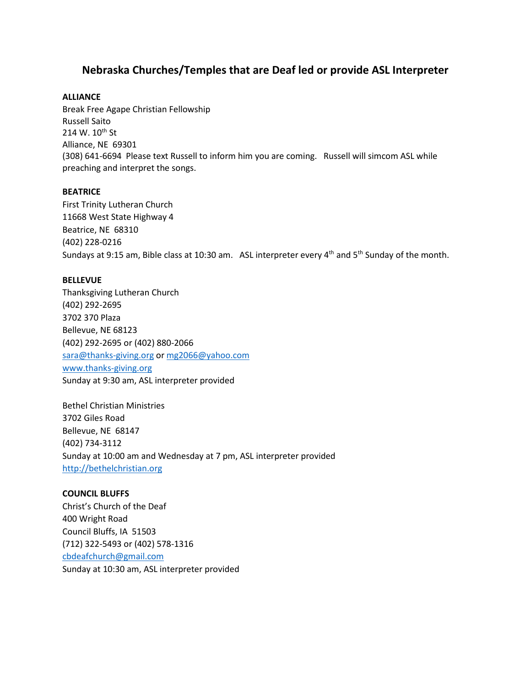# **Nebraska Churches/Temples that are Deaf led or provide ASL Interpreter**

## **ALLIANCE**

Break Free Agape Christian Fellowship Russell Saito 214 W. 10<sup>th</sup> St Alliance, NE 69301 (308) 641-6694 Please text Russell to inform him you are coming. Russell will simcom ASL while preaching and interpret the songs.

### **BEATRICE**

First Trinity Lutheran Church 11668 West State Highway 4 Beatrice, NE 68310 (402) 228-0216 Sundays at 9:15 am, Bible class at 10:30 am. ASL interpreter every  $4^{th}$  and  $5^{th}$  Sunday of the month.

### **BELLEVUE**

Thanksgiving Lutheran Church (402) 292-2695 3702 370 Plaza Bellevue, NE 68123 (402) 292-2695 or (402) 880-2066 [sara@thanks-giving.org](mailto:sara@thanks-giving.org) or [mg2066@yahoo.com](mailto:mg2066@yahoo.com) [www.thanks-giving.org](http://www.thanks-giving.org/) Sunday at 9:30 am, ASL interpreter provided

Bethel Christian Ministries 3702 Giles Road Bellevue, NE 68147 (402) 734-3112 Sunday at 10:00 am and Wednesday at 7 pm, ASL interpreter provided [http://bethelchristian.org](http://bethelchristian.org/)

## **COUNCIL BLUFFS**

Christ's Church of the Deaf 400 Wright Road Council Bluffs, IA 51503 (712) 322-5493 or (402) 578-1316 [cbdeafchurch@gmail.com](mailto:cbdeafchurch@gmail.com) Sunday at 10:30 am, ASL interpreter provided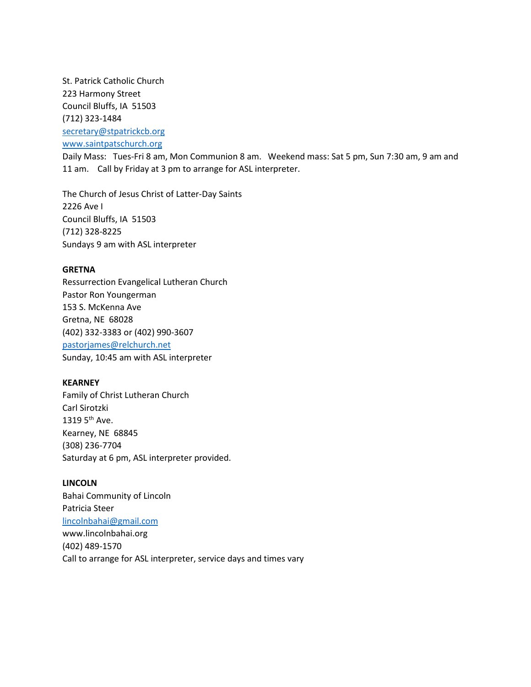St. Patrick Catholic Church 223 Harmony Street Council Bluffs, IA 51503 (712) 323-1484 [secretary@stpatrickcb.org](mailto:secretary@stpatrickcb.org) [www.saintpatschurch.org](http://www.saintpatschurch.org/)

Daily Mass: Tues-Fri 8 am, Mon Communion 8 am. Weekend mass: Sat 5 pm, Sun 7:30 am, 9 am and 11 am. Call by Friday at 3 pm to arrange for ASL interpreter.

The Church of Jesus Christ of Latter-Day Saints 2226 Ave I Council Bluffs, IA 51503 (712) 328-8225 Sundays 9 am with ASL interpreter

### **GRETNA**

Ressurrection Evangelical Lutheran Church Pastor Ron Youngerman 153 S. McKenna Ave Gretna, NE 68028 (402) 332-3383 or (402) 990-3607 [pastorjames@relchurch.net](mailto:pastorjames@relchurch.net) Sunday, 10:45 am with ASL interpreter

## **KEARNEY**

Family of Christ Lutheran Church Carl Sirotzki 1319  $5<sup>th</sup>$  Ave. Kearney, NE 68845 (308) 236-7704 Saturday at 6 pm, ASL interpreter provided.

## **LINCOLN**

Bahai Community of Lincoln Patricia Steer [lincolnbahai@gmail.com](mailto:lincolnbahai@gmail.com) www.lincolnbahai.org (402) 489-1570 Call to arrange for ASL interpreter, service days and times vary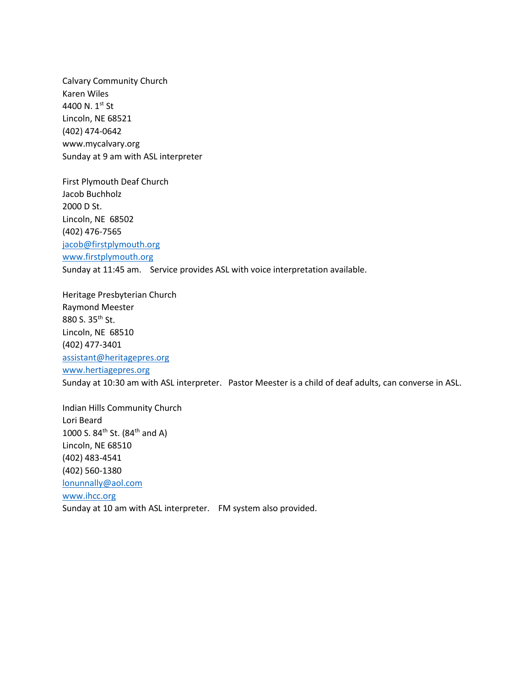Calvary Community Church Karen Wiles 4400 N. 1st St Lincoln, NE 68521 (402) 474-0642 www.mycalvary.org Sunday at 9 am with ASL interpreter

First Plymouth Deaf Church Jacob Buchholz 2000 D St. Lincoln, NE 68502 (402) 476-7565 [jacob@firstplymouth.org](mailto:jacob@firstplymouth.org) [www.firstplymouth.org](http://www.firstplymouth.org/) Sunday at 11:45 am. Service provides ASL with voice interpretation available.

Heritage Presbyterian Church Raymond Meester 880 S. 35th St. Lincoln, NE 68510 (402) 477-3401 [assistant@heritagepres.org](mailto:assistant@heritagepres.org) [www.hertiagepres.org](http://www.hertiagepres.org/) Sunday at 10:30 am with ASL interpreter. Pastor Meester is a child of deaf adults, can converse in ASL.

Indian Hills Community Church Lori Beard 1000 S. 84<sup>th</sup> St. (84<sup>th</sup> and A) Lincoln, NE 68510 (402) 483-4541 (402) 560-1380 [lonunnally@aol.com](mailto:lonunnally@aol.com) [www.ihcc.org](http://www.ihcc.org/) Sunday at 10 am with ASL interpreter. FM system also provided.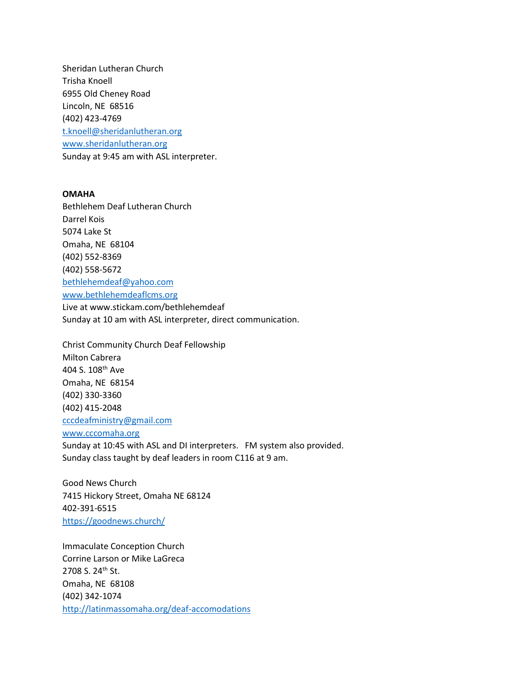Sheridan Lutheran Church Trisha Knoell 6955 Old Cheney Road Lincoln, NE 68516 (402) 423-4769 [t.knoell@sheridanlutheran.org](mailto:t.knoell@sheridanlutheran.org) [www.sheridanlutheran.org](http://www.sheridanlutheran.org/) Sunday at 9:45 am with ASL interpreter.

## **OMAHA**

Bethlehem Deaf Lutheran Church Darrel Kois 5074 Lake St Omaha, NE 68104 (402) 552-8369 (402) 558-5672 [bethlehemdeaf@yahoo.com](mailto:bethlehemdeaf@yahoo.com) [www.bethlehemdeaflcms.org](http://www.bethlehemdeaflcms.org/)

Live at www.stickam.com/bethlehemdeaf Sunday at 10 am with ASL interpreter, direct communication.

Christ Community Church Deaf Fellowship Milton Cabrera 404 S. 108th Ave Omaha, NE 68154 (402) 330-3360 (402) 415-2048 [cccdeafministry@gmail.com](mailto:cccdeafministry@gmail.com) [www.cccomaha.org](http://www.cccomaha.org/)

Sunday at 10:45 with ASL and DI interpreters. FM system also provided. Sunday class taught by deaf leaders in room C116 at 9 am.

Good News Church 7415 Hickory Street, Omaha NE 68124 402-391-6515 <https://goodnews.church/>

Immaculate Conception Church Corrine Larson or Mike LaGreca 2708 S. 24<sup>th</sup> St. Omaha, NE 68108 (402) 342-1074 <http://latinmassomaha.org/deaf-accomodations>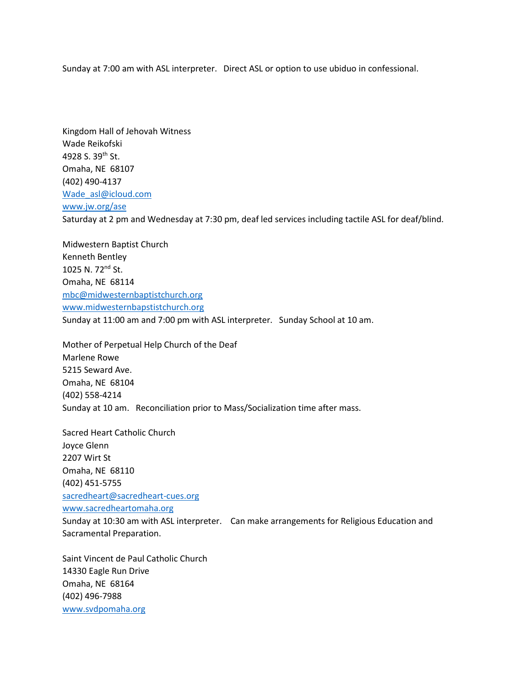Sunday at 7:00 am with ASL interpreter. Direct ASL or option to use ubiduo in confessional.

Kingdom Hall of Jehovah Witness Wade Reikofski 4928 S. 39th St. Omaha, NE 68107 (402) 490-4137 [Wade\\_asl@icloud.com](mailto:Wade_asl@icloud.com) [www.jw.org/ase](http://www.jw.org/ase) Saturday at 2 pm and Wednesday at 7:30 pm, deaf led services including tactile ASL for deaf/blind.

Midwestern Baptist Church Kenneth Bentley 1025 N. 72nd St. Omaha, NE 68114 [mbc@midwesternbaptistchurch.org](mailto:mbc@midwesternbaptistchurch.org) [www.midwesternbapstistchurch.org](http://www.midwesternbapstistchurch.org/) Sunday at 11:00 am and 7:00 pm with ASL interpreter. Sunday School at 10 am.

Mother of Perpetual Help Church of the Deaf Marlene Rowe 5215 Seward Ave. Omaha, NE 68104 (402) 558-4214 Sunday at 10 am. Reconciliation prior to Mass/Socialization time after mass.

Sacred Heart Catholic Church Joyce Glenn 2207 Wirt St Omaha, NE 68110 (402) 451-5755 [sacredheart@sacredheart-cues.org](mailto:sacredheart@sacredheart-cues.org) [www.sacredheartomaha.org](http://www.sacredheartomaha.org/) Sunday at 10:30 am with ASL interpreter. Can make arrangements for Religious Education and Sacramental Preparation.

Saint Vincent de Paul Catholic Church 14330 Eagle Run Drive Omaha, NE 68164 (402) 496-7988 [www.svdpomaha.org](http://www.svdpomaha.org/)